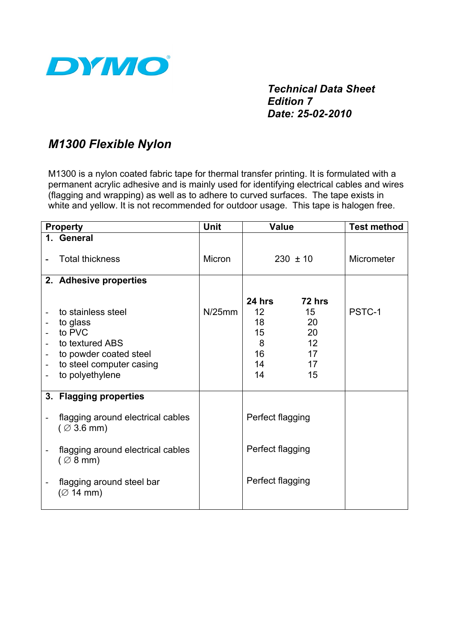

*Technical Data Sheet Edition 7 Date: 25-02-2010*

## *M1300 Flexible Nylon*

M1300 is a nylon coated fabric tape for thermal transfer printing. It is formulated with a permanent acrylic adhesive and is mainly used for identifying electrical cables and wires (flagging and wrapping) as well as to adhere to curved surfaces. The tape exists in white and yellow. It is not recommended for outdoor usage. This tape is halogen free.

| <b>Property</b>               |                                                                                                                                      | <b>Unit</b>   | <b>Value</b>                                                 |                                                  | <b>Test method</b> |
|-------------------------------|--------------------------------------------------------------------------------------------------------------------------------------|---------------|--------------------------------------------------------------|--------------------------------------------------|--------------------|
|                               | 1. General                                                                                                                           |               |                                                              |                                                  |                    |
|                               | <b>Total thickness</b>                                                                                                               | <b>Micron</b> | $230 \pm 10$                                                 |                                                  | Micrometer         |
|                               | 2. Adhesive properties                                                                                                               |               |                                                              |                                                  |                    |
| -<br>$\overline{\phantom{0}}$ | to stainless steel<br>to glass<br>to PVC<br>to textured ABS<br>to powder coated steel<br>to steel computer casing<br>to polyethylene | N/25mm        | 24 hrs<br>12 <sup>2</sup><br>18<br>15<br>8<br>16<br>14<br>14 | 72 hrs<br>15<br>20<br>20<br>12<br>17<br>17<br>15 | PSTC-1             |
|                               | 3. Flagging properties                                                                                                               |               |                                                              |                                                  |                    |
|                               | flagging around electrical cables<br>$($ $\varnothing$ 3.6 mm)                                                                       |               | Perfect flagging                                             |                                                  |                    |
|                               | flagging around electrical cables<br>$( \varnothing 8$ mm)                                                                           |               | Perfect flagging                                             |                                                  |                    |
|                               | flagging around steel bar<br>$(\emptyset$ 14 mm)                                                                                     |               | Perfect flagging                                             |                                                  |                    |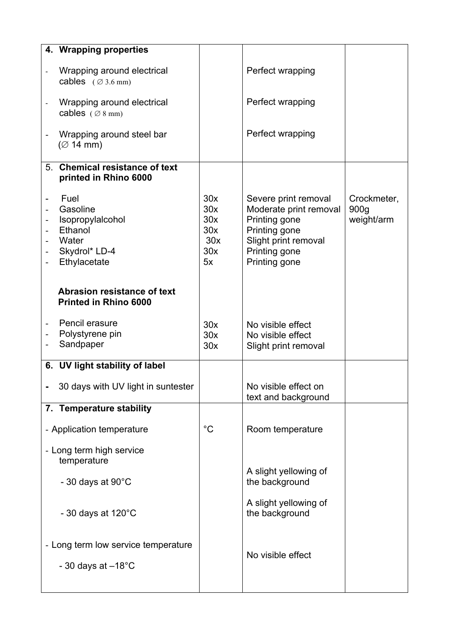|                          | 4. Wrapping properties                                                                    |                                              |                                                                                                                                            |                                   |
|--------------------------|-------------------------------------------------------------------------------------------|----------------------------------------------|--------------------------------------------------------------------------------------------------------------------------------------------|-----------------------------------|
|                          | Wrapping around electrical<br>cables $( \varnothing 3.6 \text{ mm})$                      |                                              | Perfect wrapping                                                                                                                           |                                   |
|                          | Wrapping around electrical<br>cables $( \varnothing 8 \text{ mm})$                        |                                              | Perfect wrapping                                                                                                                           |                                   |
| $\overline{\phantom{0}}$ | Wrapping around steel bar<br>$(\emptyset$ 14 mm)                                          |                                              | Perfect wrapping                                                                                                                           |                                   |
|                          | 5. Chemical resistance of text<br>printed in Rhino 6000                                   |                                              |                                                                                                                                            |                                   |
|                          | Fuel<br>Gasoline<br>Isopropylalcohol<br>Ethanol<br>Water<br>Skydrol* LD-4<br>Ethylacetate | 30x<br>30x<br>30x<br>30x<br>30x<br>30x<br>5x | Severe print removal<br>Moderate print removal<br>Printing gone<br>Printing gone<br>Slight print removal<br>Printing gone<br>Printing gone | Crockmeter,<br>900g<br>weight/arm |
|                          | <b>Abrasion resistance of text</b><br><b>Printed in Rhino 6000</b>                        |                                              |                                                                                                                                            |                                   |
|                          | Pencil erasure<br>Polystyrene pin<br>Sandpaper                                            | 30x<br>30x<br>30x                            | No visible effect<br>No visible effect<br>Slight print removal                                                                             |                                   |
|                          | 6. UV light stability of label                                                            |                                              |                                                                                                                                            |                                   |
|                          | 30 days with UV light in suntester                                                        |                                              | No visible effect on<br>text and background                                                                                                |                                   |
|                          | 7. Temperature stability                                                                  |                                              |                                                                                                                                            |                                   |
|                          | - Application temperature                                                                 | $^{\circ}C$                                  | Room temperature                                                                                                                           |                                   |
|                          | - Long term high service<br>temperature                                                   |                                              |                                                                                                                                            |                                   |
|                          | - 30 days at $90^{\circ}$ C                                                               |                                              | A slight yellowing of<br>the background                                                                                                    |                                   |
|                          | - 30 days at $120^{\circ}$ C                                                              |                                              | A slight yellowing of<br>the background                                                                                                    |                                   |
|                          | - Long term low service temperature<br>- 30 days at $-18^{\circ}$ C                       |                                              | No visible effect                                                                                                                          |                                   |